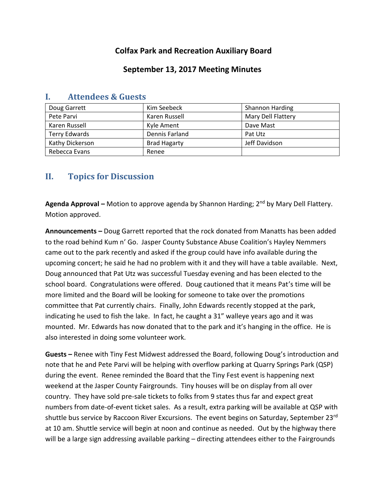# **Colfax Park and Recreation Auxiliary Board**

## **September 13, 2017 Meeting Minutes**

| Doug Garrett         | Kim Seebeck         | <b>Shannon Harding</b> |
|----------------------|---------------------|------------------------|
| Pete Parvi           | Karen Russell       | Mary Dell Flattery     |
| Karen Russell        | Kyle Ament          | Dave Mast              |
| <b>Terry Edwards</b> | Dennis Farland      | Pat Utz                |
| Kathy Dickerson      | <b>Brad Hagarty</b> | Jeff Davidson          |
| Rebecca Evans        | Renee               |                        |

### **I. Attendees & Guests**

# **II. Topics for Discussion**

**Agenda Approval –** Motion to approve agenda by Shannon Harding; 2nd by Mary Dell Flattery. Motion approved.

**Announcements –** Doug Garrett reported that the rock donated from Manatts has been added to the road behind Kum n' Go. Jasper County Substance Abuse Coalition's Hayley Nemmers came out to the park recently and asked if the group could have info available during the upcoming concert; he said he had no problem with it and they will have a table available. Next, Doug announced that Pat Utz was successful Tuesday evening and has been elected to the school board. Congratulations were offered. Doug cautioned that it means Pat's time will be more limited and the Board will be looking for someone to take over the promotions committee that Pat currently chairs. Finally, John Edwards recently stopped at the park, indicating he used to fish the lake. In fact, he caught a 31" walleye years ago and it was mounted. Mr. Edwards has now donated that to the park and it's hanging in the office. He is also interested in doing some volunteer work.

**Guests –** Renee with Tiny Fest Midwest addressed the Board, following Doug's introduction and note that he and Pete Parvi will be helping with overflow parking at Quarry Springs Park (QSP) during the event. Renee reminded the Board that the Tiny Fest event is happening next weekend at the Jasper County Fairgrounds. Tiny houses will be on display from all over country. They have sold pre-sale tickets to folks from 9 states thus far and expect great numbers from date-of-event ticket sales. As a result, extra parking will be available at QSP with shuttle bus service by Raccoon River Excursions. The event begins on Saturday, September 23rd at 10 am. Shuttle service will begin at noon and continue as needed. Out by the highway there will be a large sign addressing available parking – directing attendees either to the Fairgrounds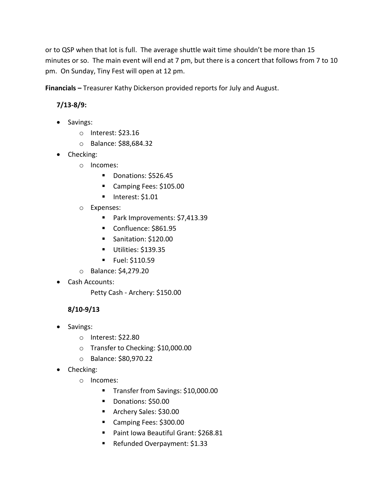or to QSP when that lot is full. The average shuttle wait time shouldn't be more than 15 minutes or so. The main event will end at 7 pm, but there is a concert that follows from 7 to 10 pm. On Sunday, Tiny Fest will open at 12 pm.

**Financials –** Treasurer Kathy Dickerson provided reports for July and August.

# **7/13-8/9:**

- Savings:
	- o Interest: \$23.16
	- o Balance: \$88,684.32
- Checking:
	- o Incomes:
		- Donations: \$526.45
		- Camping Fees: \$105.00
		- $\blacksquare$  Interest: \$1.01
	- o Expenses:
		- Park Improvements: \$7,413.39
		- Confluence: \$861.95
		- Sanitation: \$120.00
		- Utilities: \$139.35
		- **Fuel: \$110.59**
	- o Balance: \$4,279.20
- Cash Accounts:

Petty Cash - Archery: \$150.00

## **8/10-9/13**

- Savings:
	- o Interest: \$22.80
	- o Transfer to Checking: \$10,000.00
	- o Balance: \$80,970.22
- Checking:
	- o Incomes:
		- Transfer from Savings: \$10,000.00
		- Donations: \$50.00
		- **Archery Sales: \$30.00**
		- Camping Fees: \$300.00
		- Paint Iowa Beautiful Grant: \$268.81
		- Refunded Overpayment: \$1.33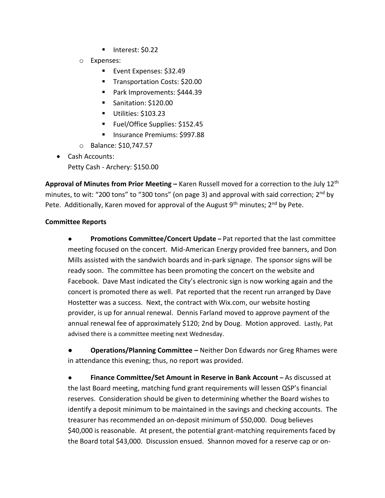- Interest: \$0.22
- o Expenses:
	- Event Expenses: \$32.49
	- **Transportation Costs: \$20.00**
	- Park Improvements: \$444.39
	- Sanitation: \$120.00
	- Utilities: \$103.23
	- Fuel/Office Supplies: \$152.45
	- Insurance Premiums: \$997.88
- o Balance: \$10,747.57
- Cash Accounts: Petty Cash - Archery: \$150.00

**Approval of Minutes from Prior Meeting –** Karen Russell moved for a correction to the July 12th minutes, to wit: "200 tons" to "300 tons" (on page 3) and approval with said correction; 2<sup>nd</sup> by Pete. Additionally, Karen moved for approval of the August  $9<sup>th</sup>$  minutes;  $2<sup>nd</sup>$  by Pete.

#### **Committee Reports**

● **Promotions Committee/Concert Update –** Pat reported that the last committee meeting focused on the concert. Mid-American Energy provided free banners, and Don Mills assisted with the sandwich boards and in-park signage. The sponsor signs will be ready soon. The committee has been promoting the concert on the website and Facebook. Dave Mast indicated the City's electronic sign is now working again and the concert is promoted there as well. Pat reported that the recent run arranged by Dave Hostetter was a success. Next, the contract with Wix.com, our website hosting provider, is up for annual renewal. Dennis Farland moved to approve payment of the annual renewal fee of approximately \$120; 2nd by Doug. Motion approved. Lastly, Pat advised there is a committee meeting next Wednesday.

**● Operations/Planning Committee –** Neither Don Edwards nor Greg Rhames were in attendance this evening; thus, no report was provided.

● **Finance Committee/Set Amount in Reserve in Bank Account –** As discussed at the last Board meeting, matching fund grant requirements will lessen QSP's financial reserves. Consideration should be given to determining whether the Board wishes to identify a deposit minimum to be maintained in the savings and checking accounts. The treasurer has recommended an on-deposit minimum of \$50,000. Doug believes \$40,000 is reasonable. At present, the potential grant-matching requirements faced by the Board total \$43,000. Discussion ensued. Shannon moved for a reserve cap or on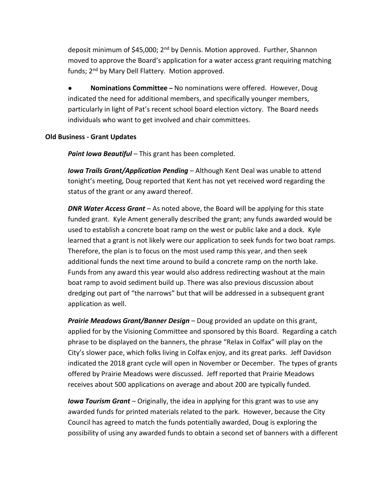deposit minimum of \$45,000; 2<sup>nd</sup> by Dennis. Motion approved. Further, Shannon moved to approve the Board's application for a water access grant requiring matching funds; 2<sup>nd</sup> by Mary Dell Flattery. Motion approved.

● **Nominations Committee –** No nominations were offered. However, Doug indicated the need for additional members, and specifically younger members, particularly in light of Pat's recent school board election victory. The Board needs individuals who want to get involved and chair committees.

#### **Old Business - Grant Updates**

*Paint Iowa Beautiful* – This grant has been completed.

*Iowa Trails Grant/Application Pending* – Although Kent Deal was unable to attend tonight's meeting, Doug reported that Kent has not yet received word regarding the status of the grant or any award thereof.

*DNR Water Access Grant* – As noted above, the Board will be applying for this state funded grant. Kyle Ament generally described the grant; any funds awarded would be used to establish a concrete boat ramp on the west or public lake and a dock. Kyle learned that a grant is not likely were our application to seek funds for two boat ramps. Therefore, the plan is to focus on the most used ramp this year, and then seek additional funds the next time around to build a concrete ramp on the north lake. Funds from any award this year would also address redirecting washout at the main boat ramp to avoid sediment build up. There was also previous discussion about dredging out part of "the narrows" but that will be addressed in a subsequent grant application as well.

*Prairie Meadows Grant/Banner Design* – Doug provided an update on this grant, applied for by the Visioning Committee and sponsored by this Board. Regarding a catch phrase to be displayed on the banners, the phrase "Relax in Colfax" will play on the City's slower pace, which folks living in Colfax enjoy, and its great parks. Jeff Davidson indicated the 2018 grant cycle will open in November or December. The types of grants offered by Prairie Meadows were discussed. Jeff reported that Prairie Meadows receives about 500 applications on average and about 200 are typically funded.

*Iowa Tourism Grant* – Originally, the idea in applying for this grant was to use any awarded funds for printed materials related to the park. However, because the City Council has agreed to match the funds potentially awarded, Doug is exploring the possibility of using any awarded funds to obtain a second set of banners with a different